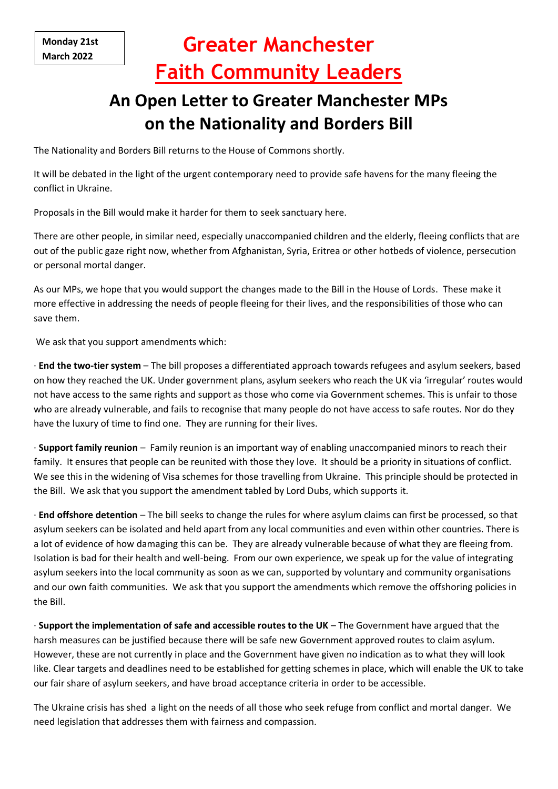# **Greater Manchester Faith Community Leaders**

# **An Open Letter to Greater Manchester MPs on the Nationality and Borders Bill**

The Nationality and Borders Bill returns to the House of Commons shortly.

It will be debated in the light of the urgent contemporary need to provide safe havens for the many fleeing the conflict in Ukraine.

Proposals in the Bill would make it harder for them to seek sanctuary here.

There are other people, in similar need, especially unaccompanied children and the elderly, fleeing conflicts that are out of the public gaze right now, whether from Afghanistan, Syria, Eritrea or other hotbeds of violence, persecution or personal mortal danger.

As our MPs, we hope that you would support the changes made to the Bill in the House of Lords. These make it more effective in addressing the needs of people fleeing for their lives, and the responsibilities of those who can save them.

We ask that you support amendments which:

· **End the two-tier system** – The bill proposes a differentiated approach towards refugees and asylum seekers, based on how they reached the UK. Under government plans, asylum seekers who reach the UK via 'irregular' routes would not have access to the same rights and support as those who come via Government schemes. This is unfair to those who are already vulnerable, and fails to recognise that many people do not have access to safe routes. Nor do they have the luxury of time to find one. They are running for their lives.

· **Support family reunion** – Family reunion is an important way of enabling unaccompanied minors to reach their family. It ensures that people can be reunited with those they love. It should be a priority in situations of conflict. We see this in the widening of Visa schemes for those travelling from Ukraine. This principle should be protected in the Bill. We ask that you support the amendment tabled by Lord Dubs, which supports it.

· **End offshore detention** – The bill seeks to change the rules for where asylum claims can first be processed, so that asylum seekers can be isolated and held apart from any local communities and even within other countries. There is a lot of evidence of how damaging this can be. They are already vulnerable because of what they are fleeing from. Isolation is bad for their health and well-being. From our own experience, we speak up for the value of integrating asylum seekers into the local community as soon as we can, supported by voluntary and community organisations and our own faith communities. We ask that you support the amendments which remove the offshoring policies in the Bill.

· **Support the implementation of safe and accessible routes to the UK** – The Government have argued that the harsh measures can be justified because there will be safe new Government approved routes to claim asylum. However, these are not currently in place and the Government have given no indication as to what they will look like. Clear targets and deadlines need to be established for getting schemes in place, which will enable the UK to take our fair share of asylum seekers, and have broad acceptance criteria in order to be accessible.

The Ukraine crisis has shed a light on the needs of all those who seek refuge from conflict and mortal danger. We need legislation that addresses them with fairness and compassion.